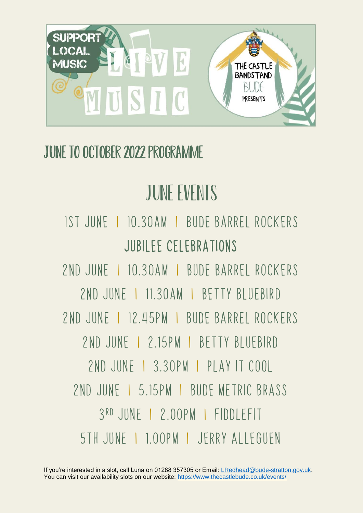

#### June to October 2022 programme

# JUNE EVENTS

#### 1st june I 10.30am I Bude barrel rockers Jubilee celebrations

2nd june I 10.30am I bude barrel rockers 2nd june I 11.30am I betty bluebird 2nd june I 12.45pm I bude barrel rockers 2nd june I 2.15pm I betty bluebird 2nd june I 3.30pm I play it cool 2nd june I 5.15pm I bude metric brass 3 rd june I 2.00pm I fiddlefit 5th June I 1.00pm I Jerry Alleguen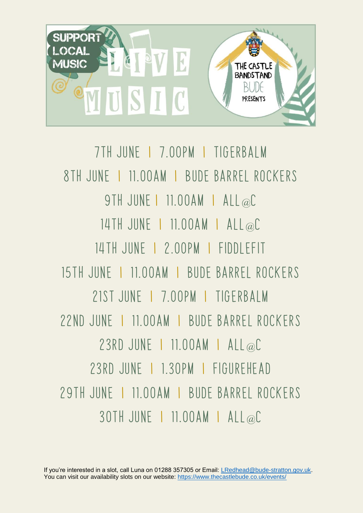

7th june I 7.00pm I tigerbalm 8th june I 11.00am I Bude barrel rockers 9TH JUNE | 11.00AM | ALL@C 14th June I 11.00am I all@C 14th June I 2.00pm I fiddlefit 15th june I 11.00am I Bude barrel rockers 21st June I 7.00pm I tigerbalm 22nd june I 11.00am I Bude barrel rockers 23rd June I 11.00am I all@C 23rd june I 1.30pm I figurehead 29th june I 11.00am I Bude barrel rockers 30th June I 11.00am I all@C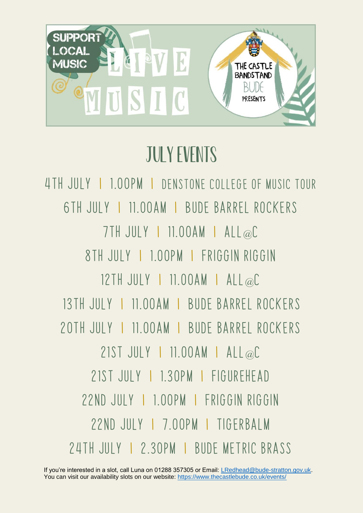

# July Events

4th july I 1.00pm I denstone College of music tour 6th july I 11.00am I Bude barrel rockers 7th July I 11.00am I all@C 8th july I 1.00pm I friggin riggin 12th July I 11.00am I all@C 13th july I 11.00am I Bude barrel rockers 20th july I 11.00am I Bude barrel rockers 21st July I 11.00am I all@C 21st july I 1.30pm I figurehead 22nd july I 1.00pm I friggin riggin 22nd july I 7.00pm I tigerbalm 24th july I 2.30pm I bude metric brass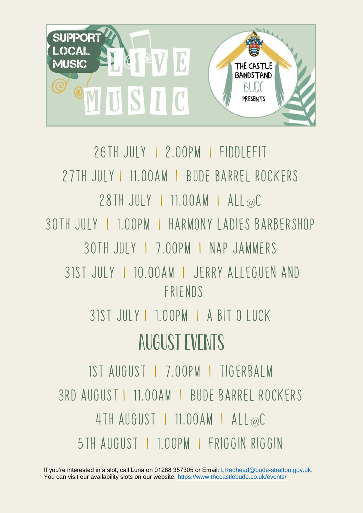

26th July I 2.00pm I fiddlefit 27th july I 11.00am I Bude barrel rockers 28th July I 11.00am I all@C 30th July I 1.00pm I harmony ladies barbershop 30th July I 7.00pm I nap jammers 31st july I 10.00am I Jerry Alleguen and friends 31st july I 1.00pm I a bit o luck august Events 1st august I 7.00pm I tigerbalm 3rd august I 11.00am I Bude barrel rockers 4th august I 11.00am I all@C 5th august I 1.00pm I friggin riggin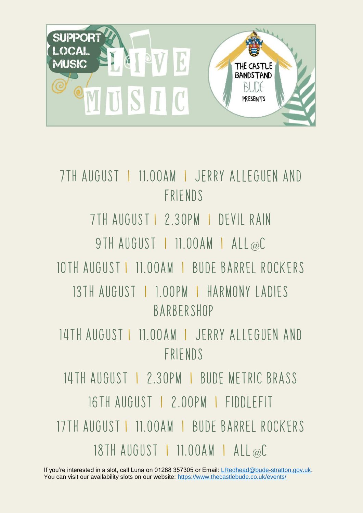

7th august I 11.00am I Jerry Alleguen and friends 7th august I 2.30pm I devil rain 9TH AUGUST | 11.00AM | ALL@C 10th august I 11.00am I Bude barrel rockers 13th august I 1.00pm I harmony ladies barbershop 14th august I 11.00am I Jerry Alleguen and friends 14th august I 2.30pm I bude metric brass 16TH AUGUST | 2.00PM | FIDDI FFIT 17th august I 11.00am I Bude barrel rockers 18th august I 11.00am I all@C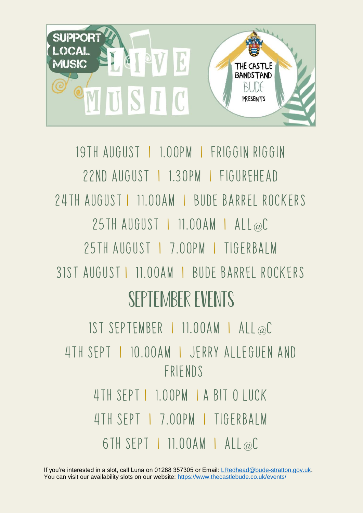

## 19th august I 1.00pm I friggin riggin 22nd august I 1.30pm I figurehead 24th august I 11.00am I Bude barrel rockers 25th august I 11.00am I all@C 25th August I 7.00pm I tigerbalm 31st august I 11.00am I Bude barrel rockers September Events 1st september I 11.00am I all@C 4th sept I 10.00am I Jerry Alleguen and friends 4th sept I 1.00pm I a bit o luck 4th Sept I 7.00pm I tigerbalm 6th sept I 11.00am I all@C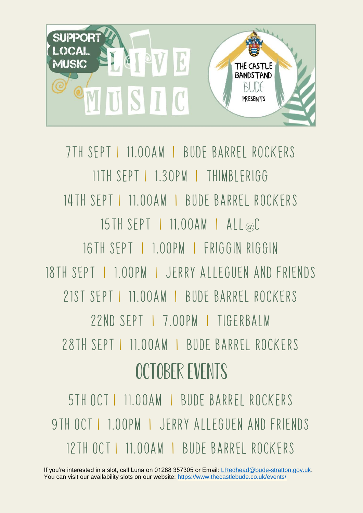

7th sept I 11.00am I Bude barrel rockers 11th sept I 1.30pm I thimblerigg 14th sept I 11.00am I Bude barrel rockers 15th sept I 11.00am I all@C 16TH SFPT I 1.00PM I FRIGGIN RIGGIN 18th sept I 1.00pm I Jerry Alleguen and friends 21st sept I 11.00am I Bude barrel rockers 22nd Sept I 7.00pm I tigerbalm 28th sept I 11.00am I Bude barrel rockers october Events

5th Oct I 11.00am I Bude barrel rockers 9th oct I 1.00pm I Jerry Alleguen and friends 12th oct I 11.00am I Bude barrel rockers